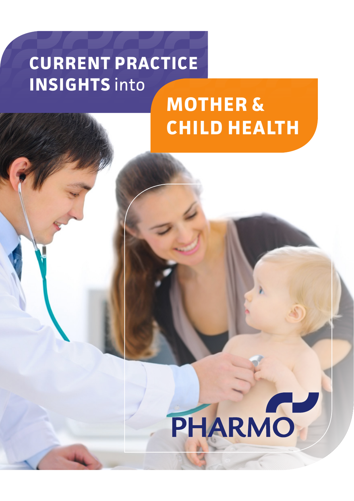# **CURRENT PRACTICE INSIGHTS** into

# **MOTHER & CHILD HEALTH**

# PHARMO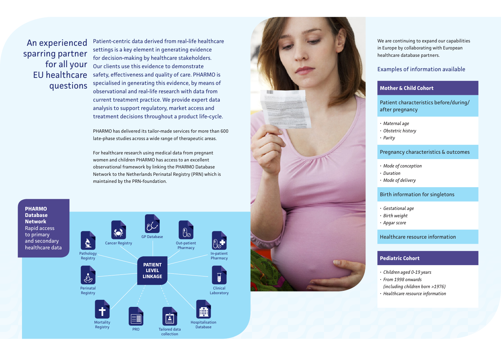An experienced sparring partner for all your EU healthcare questions

Patient-centric data derived from real-life healthcare settings is a key element in generating evidence for decision-making by healthcare stakeholders. Our clients use this evidence to demonstrate safety, effectiveness and quality of care. PHARMO is specialised in generating this evidence, by means of observational and real-life research with data from current treatment practice. We provide expert data analysis to support regulatory, market access and treatment decisions throughout a product life-cycle.

PHARMO has delivered its tailor-made services for more than 600 late-phase studies across a wide range of therapeutic areas.

For healthcare research using medical data from pregnant women and children PHARMO has access to an excellent observational framework by linking the PHARMO Database Network to the Netherlands Perinatal Registry (PRN) which is maintained by the PRN-foundation.

**PHARMO Database Network** Rapid access to primary and secondary healthcare data





We are continuing to expand our capabilities in Europe by collaborating with European healthcare database partners.

### Examples of information available

## **Mother & Child Cohort**

Patient characteristics before/during/ after pregnancy

- 
- *• Maternal age • Obstetric history • Parity*
- 

#### Pregnancy characteristics & outcomes

- *• Mode of conception*
- 
- *• Duration • Mode of delivery*

#### Birth information for singletons

- *• Gestational age • Birth weight*
- 
- *• Apgar score*

Healthcare resource information

#### **Pediatric Cohort**

- *• Children aged 0-19 years • From 1998 onwards*
- 
- *(including children born >1976)*
- *• Healthcare resource information*